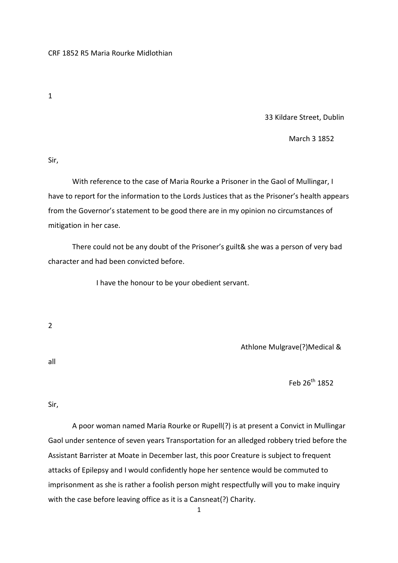1

33 Kildare Street, Dublin

March 3 1852

Sir,

 With reference to the case of Maria Rourke a Prisoner in the Gaol of Mullingar, I have to report for the information to the Lords Justices that as the Prisoner's health appears from the Governor's statement to be good there are in my opinion no circumstances of mitigation in her case.

 There could not be any doubt of the Prisoner's guilt& she was a person of very bad character and had been convicted before.

I have the honour to be your obedient servant.

2

Athlone Mulgrave(?)Medical &

all

Feb  $26^{th}$  1852

Sir,

 A poor woman named Maria Rourke or Rupell(?) is at present a Convict in Mullingar Gaol under sentence of seven years Transportation for an alledged robbery tried before the Assistant Barrister at Moate in December last, this poor Creature is subject to frequent attacks of Epilepsy and I would confidently hope her sentence would be commuted to imprisonment as she is rather a foolish person might respectfully will you to make inquiry with the case before leaving office as it is a Cansneat(?) Charity.

1